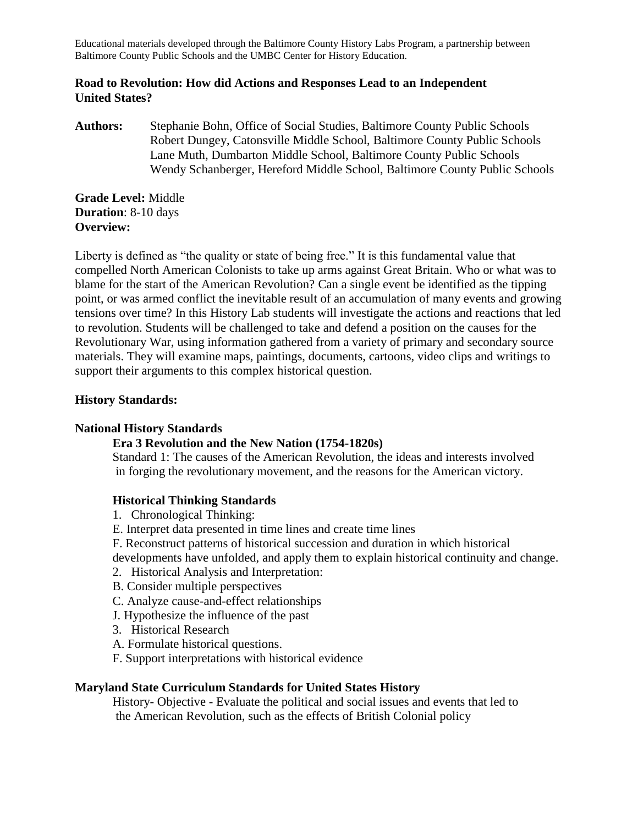#### **Road to Revolution: How did Actions and Responses Lead to an Independent United States?**

**Authors:** Stephanie Bohn, Office of Social Studies, Baltimore County Public Schools Robert Dungey, Catonsville Middle School, Baltimore County Public Schools Lane Muth, Dumbarton Middle School, Baltimore County Public Schools Wendy Schanberger, Hereford Middle School, Baltimore County Public Schools

**Grade Level:** Middle **Duration**: 8-10 days **Overview:**

Liberty is defined as "the quality or state of being free." It is this fundamental value that compelled North American Colonists to take up arms against Great Britain. Who or what was to blame for the start of the American Revolution? Can a single event be identified as the tipping point, or was armed conflict the inevitable result of an accumulation of many events and growing tensions over time? In this History Lab students will investigate the actions and reactions that led to revolution. Students will be challenged to take and defend a position on the causes for the Revolutionary War, using information gathered from a variety of primary and secondary source materials. They will examine maps, paintings, documents, cartoons, video clips and writings to support their arguments to this complex historical question.

### **History Standards:**

### **National History Standards**

### **Era 3 Revolution and the New Nation (1754-1820s)**

Standard 1: The causes of the American Revolution, the ideas and interests involved in forging the revolutionary movement, and the reasons for the American victory.

## **Historical Thinking Standards**

- 1. Chronological Thinking:
- E. Interpret data presented in time lines and create time lines
- F. Reconstruct patterns of historical succession and duration in which historical
- developments have unfolded, and apply them to explain historical continuity and change.
- 2. Historical Analysis and Interpretation:
- B. Consider multiple perspectives
- C. Analyze cause-and-effect relationships
- J. Hypothesize the influence of the past
- 3. Historical Research
- A. Formulate historical questions.
- F. Support interpretations with historical evidence

#### **Maryland State Curriculum Standards for United States History**

History- Objective - Evaluate the political and social issues and events that led to the American Revolution, such as the effects of British Colonial policy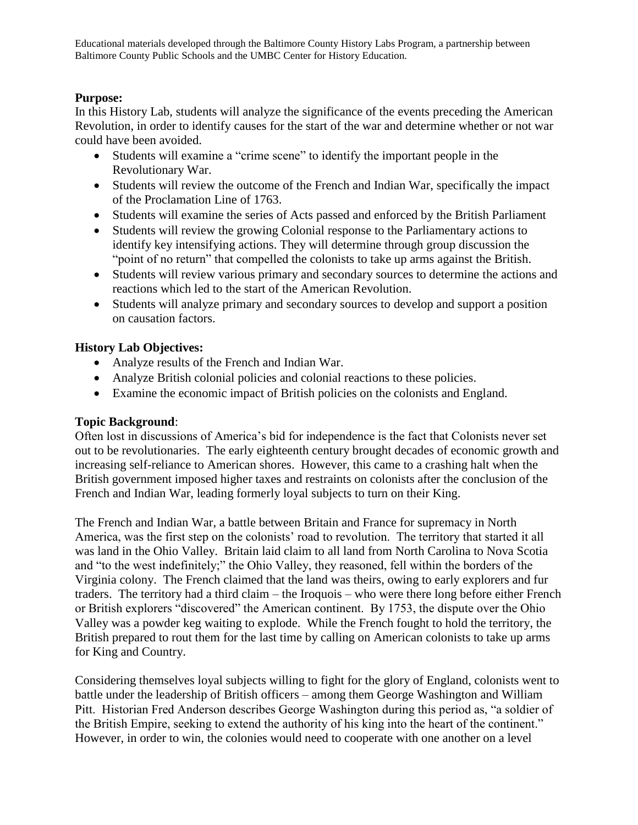## **Purpose:**

In this History Lab, students will analyze the significance of the events preceding the American Revolution, in order to identify causes for the start of the war and determine whether or not war could have been avoided.

- Students will examine a "crime scene" to identify the important people in the Revolutionary War.
- Students will review the outcome of the French and Indian War, specifically the impact of the Proclamation Line of 1763.
- Students will examine the series of Acts passed and enforced by the British Parliament
- Students will review the growing Colonial response to the Parliamentary actions to identify key intensifying actions. They will determine through group discussion the "point of no return" that compelled the colonists to take up arms against the British.
- Students will review various primary and secondary sources to determine the actions and reactions which led to the start of the American Revolution.
- Students will analyze primary and secondary sources to develop and support a position on causation factors.

# **History Lab Objectives:**

- Analyze results of the French and Indian War.
- Analyze British colonial policies and colonial reactions to these policies.
- Examine the economic impact of British policies on the colonists and England.

### **Topic Background**:

Often lost in discussions of America's bid for independence is the fact that Colonists never set out to be revolutionaries. The early eighteenth century brought decades of economic growth and increasing self-reliance to American shores. However, this came to a crashing halt when the British government imposed higher taxes and restraints on colonists after the conclusion of the French and Indian War, leading formerly loyal subjects to turn on their King.

The French and Indian War, a battle between Britain and France for supremacy in North America, was the first step on the colonists' road to revolution. The territory that started it all was land in the Ohio Valley. Britain laid claim to all land from North Carolina to Nova Scotia and "to the west indefinitely;" the Ohio Valley, they reasoned, fell within the borders of the Virginia colony. The French claimed that the land was theirs, owing to early explorers and fur traders. The territory had a third claim – the Iroquois – who were there long before either French or British explorers "discovered" the American continent. By 1753, the dispute over the Ohio Valley was a powder keg waiting to explode. While the French fought to hold the territory, the British prepared to rout them for the last time by calling on American colonists to take up arms for King and Country.

Considering themselves loyal subjects willing to fight for the glory of England, colonists went to battle under the leadership of British officers – among them George Washington and William Pitt. Historian Fred Anderson describes George Washington during this period as, "a soldier of the British Empire, seeking to extend the authority of his king into the heart of the continent." However, in order to win, the colonies would need to cooperate with one another on a level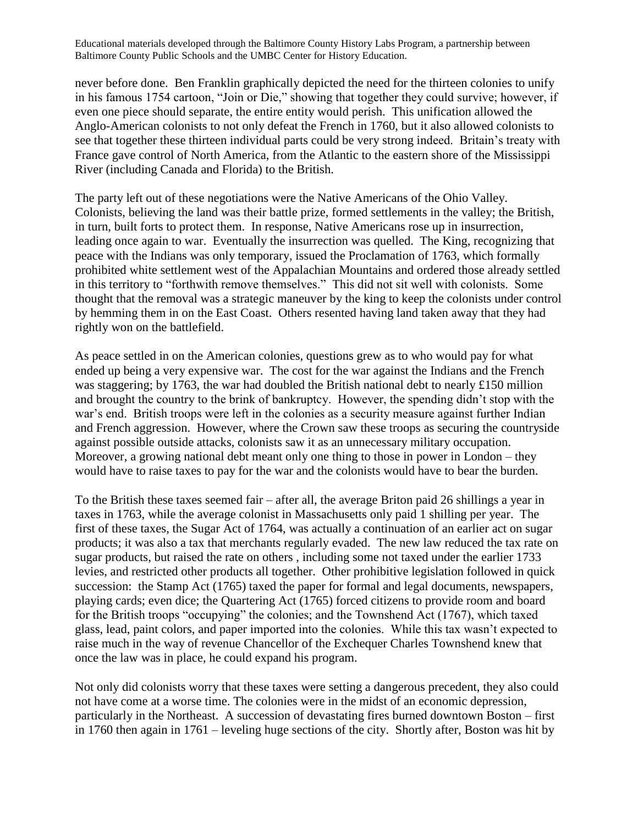never before done. Ben Franklin graphically depicted the need for the thirteen colonies to unify in his famous 1754 cartoon, "Join or Die," showing that together they could survive; however, if even one piece should separate, the entire entity would perish. This unification allowed the Anglo-American colonists to not only defeat the French in 1760, but it also allowed colonists to see that together these thirteen individual parts could be very strong indeed. Britain's treaty with France gave control of North America, from the Atlantic to the eastern shore of the Mississippi River (including Canada and Florida) to the British.

The party left out of these negotiations were the Native Americans of the Ohio Valley. Colonists, believing the land was their battle prize, formed settlements in the valley; the British, in turn, built forts to protect them. In response, Native Americans rose up in insurrection, leading once again to war. Eventually the insurrection was quelled. The King, recognizing that peace with the Indians was only temporary, issued the Proclamation of 1763, which formally prohibited white settlement west of the Appalachian Mountains and ordered those already settled in this territory to "forthwith remove themselves." This did not sit well with colonists. Some thought that the removal was a strategic maneuver by the king to keep the colonists under control by hemming them in on the East Coast. Others resented having land taken away that they had rightly won on the battlefield.

As peace settled in on the American colonies, questions grew as to who would pay for what ended up being a very expensive war. The cost for the war against the Indians and the French was staggering; by 1763, the war had doubled the British national debt to nearly £150 million and brought the country to the brink of bankruptcy. However, the spending didn't stop with the war's end. British troops were left in the colonies as a security measure against further Indian and French aggression. However, where the Crown saw these troops as securing the countryside against possible outside attacks, colonists saw it as an unnecessary military occupation. Moreover, a growing national debt meant only one thing to those in power in London – they would have to raise taxes to pay for the war and the colonists would have to bear the burden.

To the British these taxes seemed fair – after all, the average Briton paid 26 shillings a year in taxes in 1763, while the average colonist in Massachusetts only paid 1 shilling per year. The first of these taxes, the Sugar Act of 1764, was actually a continuation of an earlier act on sugar products; it was also a tax that merchants regularly evaded. The new law reduced the tax rate on sugar products, but raised the rate on others , including some not taxed under the earlier 1733 levies, and restricted other products all together. Other prohibitive legislation followed in quick succession: the Stamp Act (1765) taxed the paper for formal and legal documents, newspapers, playing cards; even dice; the Quartering Act (1765) forced citizens to provide room and board for the British troops "occupying" the colonies; and the Townshend Act (1767), which taxed glass, lead, paint colors, and paper imported into the colonies. While this tax wasn't expected to raise much in the way of revenue Chancellor of the Exchequer Charles Townshend knew that once the law was in place, he could expand his program.

Not only did colonists worry that these taxes were setting a dangerous precedent, they also could not have come at a worse time. The colonies were in the midst of an economic depression, particularly in the Northeast. A succession of devastating fires burned downtown Boston – first in 1760 then again in 1761 – leveling huge sections of the city. Shortly after, Boston was hit by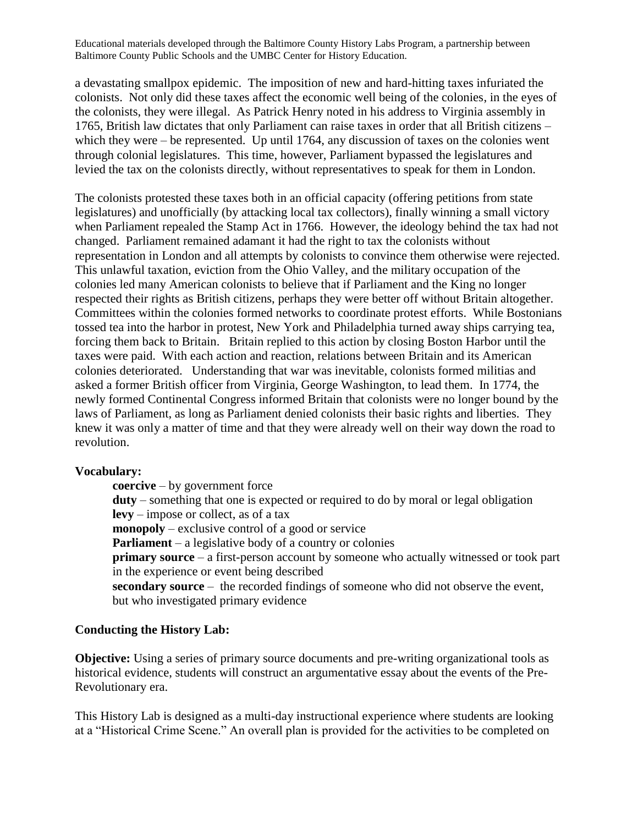a devastating smallpox epidemic. The imposition of new and hard-hitting taxes infuriated the colonists. Not only did these taxes affect the economic well being of the colonies, in the eyes of the colonists, they were illegal. As Patrick Henry noted in his address to Virginia assembly in 1765, British law dictates that only Parliament can raise taxes in order that all British citizens – which they were – be represented. Up until 1764, any discussion of taxes on the colonies went through colonial legislatures. This time, however, Parliament bypassed the legislatures and levied the tax on the colonists directly, without representatives to speak for them in London.

The colonists protested these taxes both in an official capacity (offering petitions from state legislatures) and unofficially (by attacking local tax collectors), finally winning a small victory when Parliament repealed the Stamp Act in 1766. However, the ideology behind the tax had not changed. Parliament remained adamant it had the right to tax the colonists without representation in London and all attempts by colonists to convince them otherwise were rejected. This unlawful taxation, eviction from the Ohio Valley, and the military occupation of the colonies led many American colonists to believe that if Parliament and the King no longer respected their rights as British citizens, perhaps they were better off without Britain altogether. Committees within the colonies formed networks to coordinate protest efforts. While Bostonians tossed tea into the harbor in protest, New York and Philadelphia turned away ships carrying tea, forcing them back to Britain. Britain replied to this action by closing Boston Harbor until the taxes were paid. With each action and reaction, relations between Britain and its American colonies deteriorated. Understanding that war was inevitable, colonists formed militias and asked a former British officer from Virginia, George Washington, to lead them. In 1774, the newly formed Continental Congress informed Britain that colonists were no longer bound by the laws of Parliament, as long as Parliament denied colonists their basic rights and liberties. They knew it was only a matter of time and that they were already well on their way down the road to revolution.

### **Vocabulary:**

**coercive** – by government force **duty** – something that one is expected or required to do by moral or legal obligation **levy** – impose or collect, as of a tax **monopoly** – exclusive control of a good or service **Parliament** – a legislative body of a country or colonies **primary source** – a first-person account by someone who actually witnessed or took part in the experience or event being described **secondary source** – the recorded findings of someone who did not observe the event, but who investigated primary evidence

### **Conducting the History Lab:**

**Objective:** Using a series of primary source documents and pre-writing organizational tools as historical evidence, students will construct an argumentative essay about the events of the Pre-Revolutionary era.

This History Lab is designed as a multi-day instructional experience where students are looking at a "Historical Crime Scene." An overall plan is provided for the activities to be completed on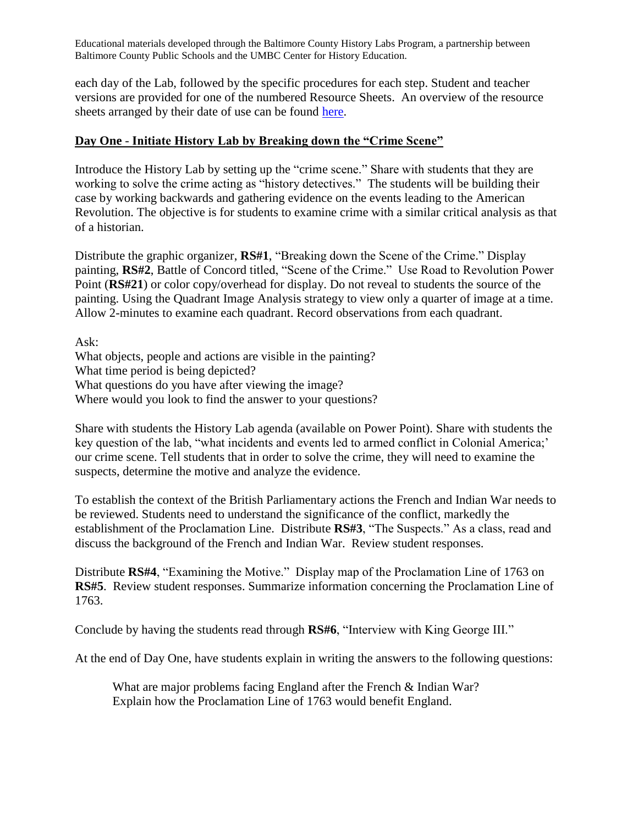each day of the Lab, followed by the specific procedures for each step. Student and teacher versions are provided for one of the numbered Resource Sheets. An overview of the resource sheets arranged by their date of use can be found [here.](http://www.umbc.edu/che/tahlessons/pdf/historylabs/Road_to_Revolution_Overview.pdf)

### **Day One** - **Initiate History Lab by Breaking down the "Crime Scene"**

Introduce the History Lab by setting up the "crime scene." Share with students that they are working to solve the crime acting as "history detectives." The students will be building their case by working backwards and gathering evidence on the events leading to the American Revolution. The objective is for students to examine crime with a similar critical analysis as that of a historian.

Distribute the graphic organizer, **RS#1**, "Breaking down the Scene of the Crime." Display painting, **RS#2**, Battle of Concord titled, "Scene of the Crime." Use Road to Revolution Power Point (**RS#21**) or color copy/overhead for display. Do not reveal to students the source of the painting. Using the Quadrant Image Analysis strategy to view only a quarter of image at a time. Allow 2-minutes to examine each quadrant. Record observations from each quadrant.

Ask:

What objects, people and actions are visible in the painting? What time period is being depicted? What questions do you have after viewing the image? Where would you look to find the answer to your questions?

Share with students the History Lab agenda (available on Power Point). Share with students the key question of the lab, "what incidents and events led to armed conflict in Colonial America;' our crime scene. Tell students that in order to solve the crime, they will need to examine the suspects, determine the motive and analyze the evidence.

To establish the context of the British Parliamentary actions the French and Indian War needs to be reviewed. Students need to understand the significance of the conflict, markedly the establishment of the Proclamation Line. Distribute **RS#3**, "The Suspects." As a class, read and discuss the background of the French and Indian War. Review student responses.

Distribute **RS#4**, "Examining the Motive." Display map of the Proclamation Line of 1763 on **RS#5**. Review student responses. Summarize information concerning the Proclamation Line of 1763.

Conclude by having the students read through **RS#6**, "Interview with King George III."

At the end of Day One, have students explain in writing the answers to the following questions:

What are major problems facing England after the French & Indian War? Explain how the Proclamation Line of 1763 would benefit England.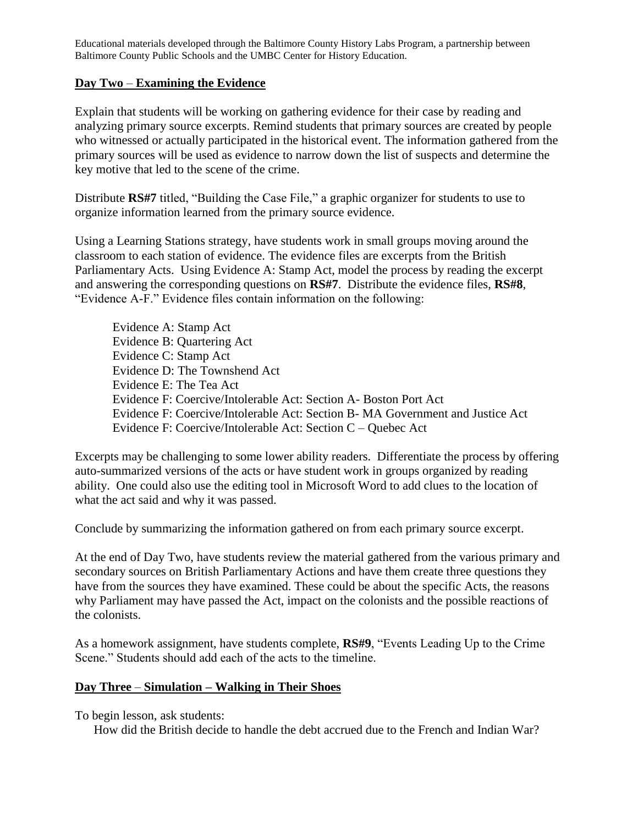### **Day Two** – **Examining the Evidence**

Explain that students will be working on gathering evidence for their case by reading and analyzing primary source excerpts. Remind students that primary sources are created by people who witnessed or actually participated in the historical event. The information gathered from the primary sources will be used as evidence to narrow down the list of suspects and determine the key motive that led to the scene of the crime.

Distribute **RS#7** titled, "Building the Case File," a graphic organizer for students to use to organize information learned from the primary source evidence.

Using a Learning Stations strategy, have students work in small groups moving around the classroom to each station of evidence. The evidence files are excerpts from the British Parliamentary Acts. Using Evidence A: Stamp Act, model the process by reading the excerpt and answering the corresponding questions on **RS#7**. Distribute the evidence files, **RS#8**, "Evidence A-F." Evidence files contain information on the following:

Evidence A: Stamp Act Evidence B: Quartering Act Evidence C: Stamp Act Evidence D: The Townshend Act Evidence E: The Tea Act Evidence F: Coercive/Intolerable Act: Section A- Boston Port Act Evidence F: Coercive/Intolerable Act: Section B- MA Government and Justice Act Evidence F: Coercive/Intolerable Act: Section C – Quebec Act

Excerpts may be challenging to some lower ability readers. Differentiate the process by offering auto-summarized versions of the acts or have student work in groups organized by reading ability. One could also use the editing tool in Microsoft Word to add clues to the location of what the act said and why it was passed.

Conclude by summarizing the information gathered on from each primary source excerpt.

At the end of Day Two, have students review the material gathered from the various primary and secondary sources on British Parliamentary Actions and have them create three questions they have from the sources they have examined. These could be about the specific Acts, the reasons why Parliament may have passed the Act, impact on the colonists and the possible reactions of the colonists.

As a homework assignment, have students complete, **RS#9**, "Events Leading Up to the Crime Scene." Students should add each of the acts to the timeline.

## **Day Three** – **Simulation – Walking in Their Shoes**

To begin lesson, ask students:

How did the British decide to handle the debt accrued due to the French and Indian War?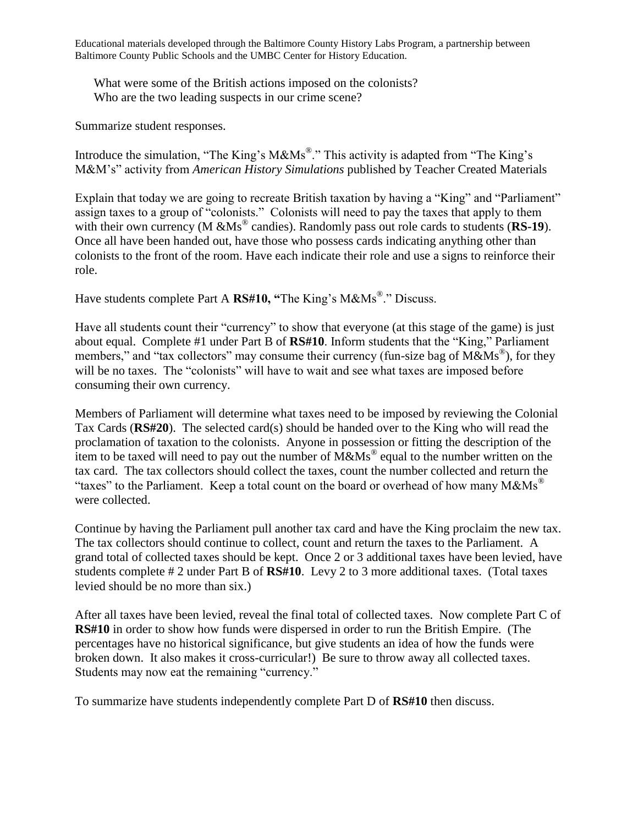What were some of the British actions imposed on the colonists? Who are the two leading suspects in our crime scene?

Summarize student responses.

Introduce the simulation, "The King's M&Ms<sup>®</sup>." This activity is adapted from "The King's M&M's" activity from *American History Simulations* published by Teacher Created Materials

Explain that today we are going to recreate British taxation by having a "King" and "Parliament" assign taxes to a group of "colonists." Colonists will need to pay the taxes that apply to them with their own currency (M &Ms<sup>®</sup> candies). Randomly pass out role cards to students (**RS-19**). Once all have been handed out, have those who possess cards indicating anything other than colonists to the front of the room. Have each indicate their role and use a signs to reinforce their role.

Have students complete Part A **RS#10, "**The King's M&Ms® ." Discuss.

Have all students count their "currency" to show that everyone (at this stage of the game) is just about equal. Complete #1 under Part B of **RS#10**. Inform students that the "King," Parliament members," and "tax collectors" may consume their currency (fun-size bag of M&Ms<sup>®</sup>), for they will be no taxes. The "colonists" will have to wait and see what taxes are imposed before consuming their own currency.

Members of Parliament will determine what taxes need to be imposed by reviewing the Colonial Tax Cards (**RS#20**). The selected card(s) should be handed over to the King who will read the proclamation of taxation to the colonists. Anyone in possession or fitting the description of the item to be taxed will need to pay out the number of  $\overline{\text{M}\&\text{Ms}}^{\circ}$  equal to the number written on the tax card. The tax collectors should collect the taxes, count the number collected and return the "taxes" to the Parliament. Keep a total count on the board or overhead of how many  $M\&Ms^{\omega}$ were collected.

Continue by having the Parliament pull another tax card and have the King proclaim the new tax. The tax collectors should continue to collect, count and return the taxes to the Parliament. A grand total of collected taxes should be kept. Once 2 or 3 additional taxes have been levied, have students complete # 2 under Part B of **RS#10**. Levy 2 to 3 more additional taxes. (Total taxes levied should be no more than six.)

After all taxes have been levied, reveal the final total of collected taxes. Now complete Part C of **RS#10** in order to show how funds were dispersed in order to run the British Empire. (The percentages have no historical significance, but give students an idea of how the funds were broken down. It also makes it cross-curricular!) Be sure to throw away all collected taxes. Students may now eat the remaining "currency."

To summarize have students independently complete Part D of **RS#10** then discuss.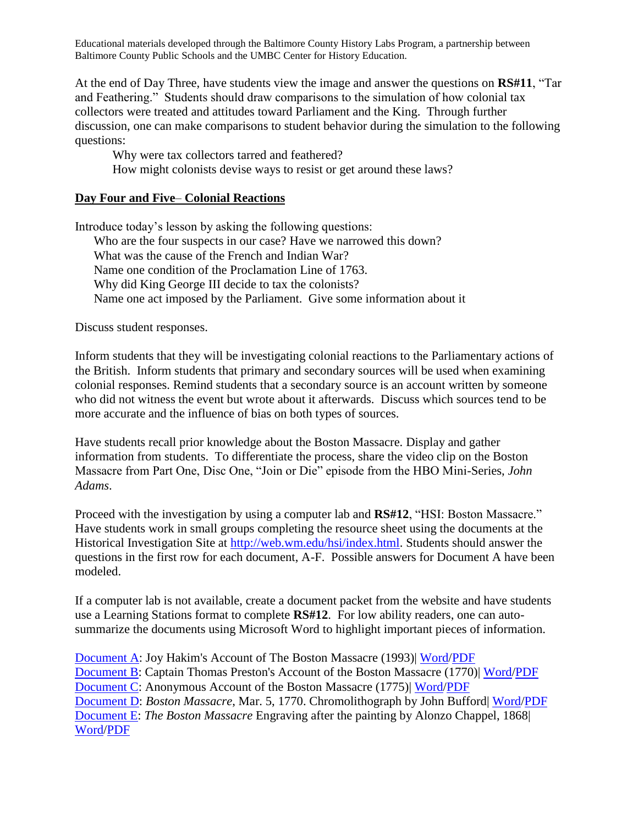At the end of Day Three, have students view the image and answer the questions on **RS#11**, "Tar and Feathering." Students should draw comparisons to the simulation of how colonial tax collectors were treated and attitudes toward Parliament and the King. Through further discussion, one can make comparisons to student behavior during the simulation to the following questions:

Why were tax collectors tarred and feathered? How might colonists devise ways to resist or get around these laws?

### **Day Four and Five**– **Colonial Reactions**

Introduce today's lesson by asking the following questions: Who are the four suspects in our case? Have we narrowed this down? What was the cause of the French and Indian War? Name one condition of the Proclamation Line of 1763. Why did King George III decide to tax the colonists? Name one act imposed by the Parliament. Give some information about it

Discuss student responses.

Inform students that they will be investigating colonial reactions to the Parliamentary actions of the British. Inform students that primary and secondary sources will be used when examining colonial responses. Remind students that a secondary source is an account written by someone who did not witness the event but wrote about it afterwards. Discuss which sources tend to be more accurate and the influence of bias on both types of sources.

Have students recall prior knowledge about the Boston Massacre. Display and gather information from students. To differentiate the process, share the video clip on the Boston Massacre from Part One, Disc One, "Join or Die" episode from the HBO Mini-Series, *John Adams*.

Proceed with the investigation by using a computer lab and **RS#12**, "HSI: Boston Massacre." Have students work in small groups completing the resource sheet using the documents at the Historical Investigation Site at [http://web.wm.edu/hsi/index.html.](http://web.wm.edu/hsi/index.html) Students should answer the questions in the first row for each document, A-F. Possible answers for Document A have been modeled.

If a computer lab is not available, create a document packet from the website and have students use a Learning Stations format to complete **RS#12**. For low ability readers, one can autosummarize the documents using Microsoft Word to highlight important pieces of information.

[Document A:](http://web.wm.edu/hsi/cases/boston/boston_documents.html#doc1) Joy Hakim's Account of The Boston Massacre (1993)| [Word/](http://web.wm.edu/hsi/cases/boston/boston_doc_a.doc)[PDF](http://web.wm.edu/hsi/cases/boston/boston_doc_a.pdf) [Document B:](http://web.wm.edu/hsi/cases/boston/boston_documents.html#doc2) Captain Thomas Preston's Account of the Boston Massacre (1770)| [Word/](http://web.wm.edu/hsi/cases/boston/boston_doc_b.doc)[PDF](http://web.wm.edu/hsi/cases/boston/boston_doc_b.pdf) [Document C:](http://web.wm.edu/hsi/cases/boston/boston_documents.html#doc3) Anonymous Account of the Boston Massacre (1775)| [Word](http://web.wm.edu/hsi/cases/boston/boston_doc_c.doc)[/PDF](http://web.wm.edu/hsi/cases/boston/boston_doc_c.pdf) [Document D:](http://web.wm.edu/hsi/cases/boston/boston_doc_d.htm) *Boston Massacre*, Mar. 5, 1770. Chromolithograph by John Bufford| [Word](http://www.umbc.edu/che/historylabs/documents/document%20d.doc)[/PDF](http://www.umbc.edu/che/historylabs/documents/document%20d.pdf) [Document E:](http://web.wm.edu/hsi/cases/boston/boston_doc_e.htm) *The Boston Massacre* Engraving after the painting by Alonzo Chappel, 1868| [Word](http://www.umbc.edu/che/historylabs/documents/document%20e.doc)[/PDF](http://www.umbc.edu/che/historylabs/documents/document%20f.pdf)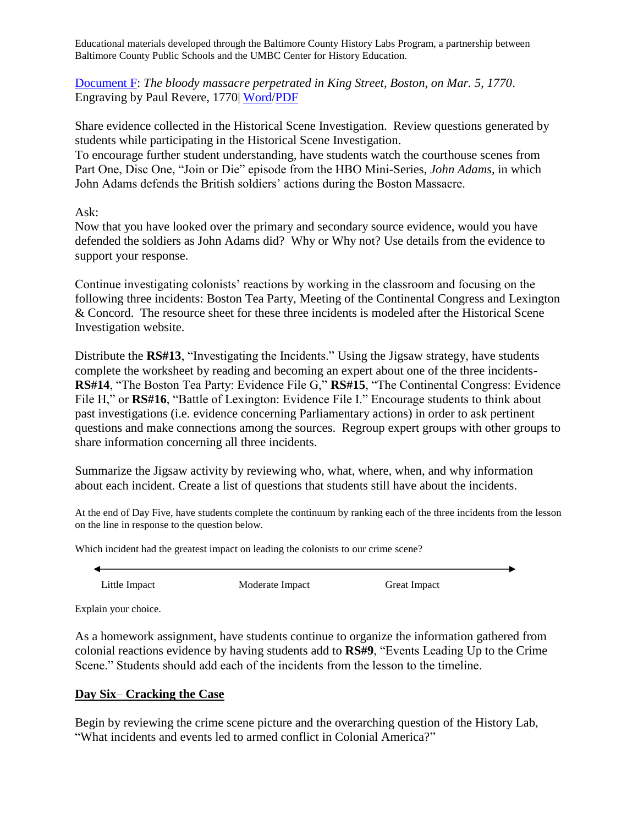[Document F:](http://web.wm.edu/hsi/cases/boston/boston_doc_f.htm) *The bloody massacre perpetrated in King Street, Boston, on Mar. 5, 1770*. Engraving by Paul Revere, 1770| [Word](http://www.umbc.edu/che/historylabs/documents/document%20f.doc)[/PDF](http://www.umbc.edu/che/historylabs/documents/document%20f.pdf)

Share evidence collected in the Historical Scene Investigation. Review questions generated by students while participating in the Historical Scene Investigation.

To encourage further student understanding, have students watch the courthouse scenes from Part One, Disc One, "Join or Die" episode from the HBO Mini-Series, *John Adams,* in which John Adams defends the British soldiers' actions during the Boston Massacre.

Ask:

Now that you have looked over the primary and secondary source evidence, would you have defended the soldiers as John Adams did? Why or Why not? Use details from the evidence to support your response.

Continue investigating colonists' reactions by working in the classroom and focusing on the following three incidents: Boston Tea Party, Meeting of the Continental Congress and Lexington & Concord. The resource sheet for these three incidents is modeled after the Historical Scene Investigation website.

Distribute the **RS#13**, "Investigating the Incidents." Using the Jigsaw strategy, have students complete the worksheet by reading and becoming an expert about one of the three incidents-**RS#14**, "The Boston Tea Party: Evidence File G," **RS#15**, "The Continental Congress: Evidence File H," or **RS#16**, "Battle of Lexington: Evidence File I." Encourage students to think about past investigations (i.e. evidence concerning Parliamentary actions) in order to ask pertinent questions and make connections among the sources. Regroup expert groups with other groups to share information concerning all three incidents.

Summarize the Jigsaw activity by reviewing who, what, where, when, and why information about each incident. Create a list of questions that students still have about the incidents.

At the end of Day Five, have students complete the continuum by ranking each of the three incidents from the lesson on the line in response to the question below.

Which incident had the greatest impact on leading the colonists to our crime scene?

Little Impact Moderate Impact Great Impact

Explain your choice.

As a homework assignment, have students continue to organize the information gathered from colonial reactions evidence by having students add to **RS#9**, "Events Leading Up to the Crime Scene." Students should add each of the incidents from the lesson to the timeline.

# **Day Six**– **Cracking the Case**

Begin by reviewing the crime scene picture and the overarching question of the History Lab, "What incidents and events led to armed conflict in Colonial America?"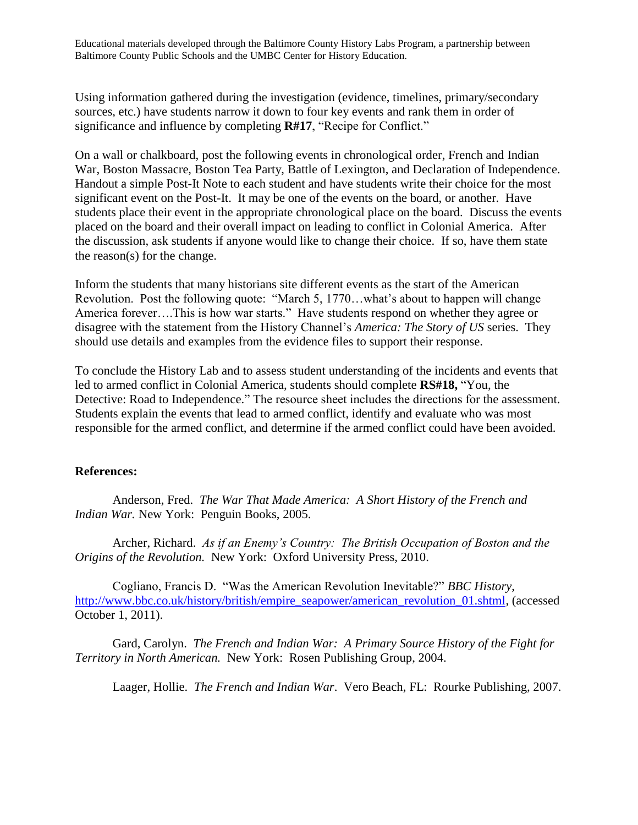Using information gathered during the investigation (evidence, timelines, primary/secondary sources, etc.) have students narrow it down to four key events and rank them in order of significance and influence by completing **R#17**, "Recipe for Conflict."

On a wall or chalkboard, post the following events in chronological order, French and Indian War, Boston Massacre, Boston Tea Party, Battle of Lexington, and Declaration of Independence. Handout a simple Post-It Note to each student and have students write their choice for the most significant event on the Post-It. It may be one of the events on the board, or another. Have students place their event in the appropriate chronological place on the board. Discuss the events placed on the board and their overall impact on leading to conflict in Colonial America. After the discussion, ask students if anyone would like to change their choice. If so, have them state the reason(s) for the change.

Inform the students that many historians site different events as the start of the American Revolution. Post the following quote: "March 5, 1770…what's about to happen will change America forever….This is how war starts." Have students respond on whether they agree or disagree with the statement from the History Channel's *America: The Story of US* series. They should use details and examples from the evidence files to support their response.

To conclude the History Lab and to assess student understanding of the incidents and events that led to armed conflict in Colonial America, students should complete **RS#18,** "You, the Detective: Road to Independence." The resource sheet includes the directions for the assessment. Students explain the events that lead to armed conflict, identify and evaluate who was most responsible for the armed conflict, and determine if the armed conflict could have been avoided.

#### **References:**

Anderson, Fred. *The War That Made America: A Short History of the French and Indian War.* New York: Penguin Books, 2005.

Archer, Richard. *As if an Enemy's Country: The British Occupation of Boston and the Origins of the Revolution.* New York: Oxford University Press, 2010.

Cogliano, Francis D. "Was the American Revolution Inevitable?" *BBC History*, [http://www.bbc.co.uk/history/british/empire\\_seapower/american\\_revolution\\_01.shtml,](http://www.bbc.co.uk/history/british/empire_seapower/american_revolution_01.shtml) (accessed October 1, 2011).

Gard, Carolyn. *The French and Indian War: A Primary Source History of the Fight for Territory in North American.* New York: Rosen Publishing Group, 2004.

Laager, Hollie. *The French and Indian War*. Vero Beach, FL: Rourke Publishing, 2007.